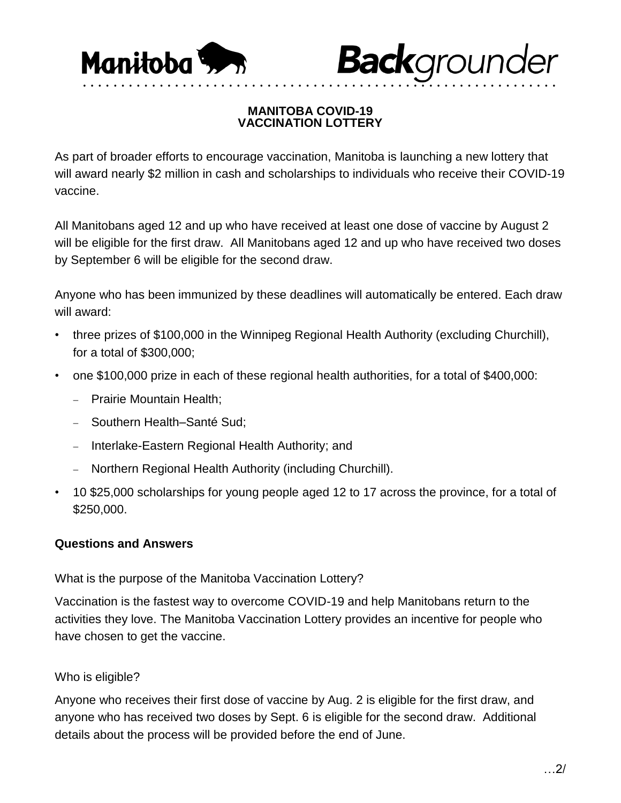



### **MANITOBA COVID-19 VACCINATION LOTTERY**

• • • • • • • • • • • • • • • • • • • • • • • • • • • • • • • • • • • • • • • • • • • • • • • • • • • • • • • • • • • • • •

As part of broader efforts to encourage vaccination, Manitoba is launching a new lottery that will award nearly \$2 million in cash and scholarships to individuals who receive their COVID-19 vaccine.

All Manitobans aged 12 and up who have received at least one dose of vaccine by August 2 will be eligible for the first draw. All Manitobans aged 12 and up who have received two doses by September 6 will be eligible for the second draw.

Anyone who has been immunized by these deadlines will automatically be entered. Each draw will award:

- three prizes of \$100,000 in the Winnipeg Regional Health Authority (excluding Churchill), for a total of \$300,000;
- one \$100,000 prize in each of these regional health authorities, for a total of \$400,000:
	- Prairie Mountain Health:
	- Southern Health–Santé Sud;
	- Interlake-Eastern Regional Health Authority; and
	- Northern Regional Health Authority (including Churchill).
- 10 \$25,000 scholarships for young people aged 12 to 17 across the province, for a total of \$250,000.

## **Questions and Answers**

What is the purpose of the Manitoba Vaccination Lottery?

Vaccination is the fastest way to overcome COVID-19 and help Manitobans return to the activities they love. The Manitoba Vaccination Lottery provides an incentive for people who have chosen to get the vaccine.

## Who is eligible?

Anyone who receives their first dose of vaccine by Aug. 2 is eligible for the first draw, and anyone who has received two doses by Sept. 6 is eligible for the second draw. Additional details about the process will be provided before the end of June.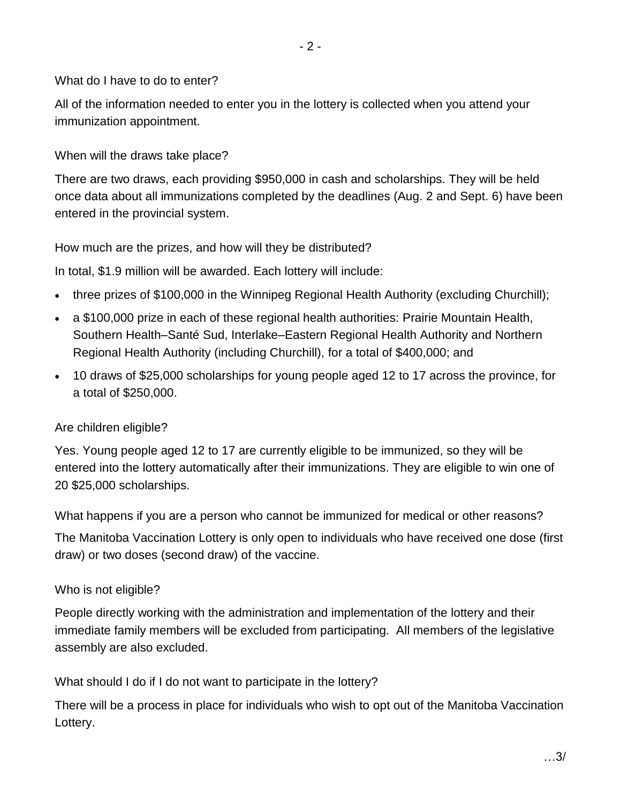#### What do I have to do to enter?

All of the information needed to enter you in the lottery is collected when you attend your immunization appointment.

When will the draws take place?

There are two draws, each providing \$950,000 in cash and scholarships. They will be held once data about all immunizations completed by the deadlines (Aug. 2 and Sept. 6) have been entered in the provincial system.

How much are the prizes, and how will they be distributed?

In total, \$1.9 million will be awarded. Each lottery will include:

- three prizes of \$100,000 in the Winnipeg Regional Health Authority (excluding Churchill);
- a \$100,000 prize in each of these regional health authorities: Prairie Mountain Health, Southern Health–Santé Sud, Interlake–Eastern Regional Health Authority and Northern Regional Health Authority (including Churchill), for a total of \$400,000; and
- 10 draws of \$25,000 scholarships for young people aged 12 to 17 across the province, for a total of \$250,000.

## Are children eligible?

Yes. Young people aged 12 to 17 are currently eligible to be immunized, so they will be entered into the lottery automatically after their immunizations. They are eligible to win one of 20 \$25,000 scholarships.

What happens if you are a person who cannot be immunized for medical or other reasons?

The Manitoba Vaccination Lottery is only open to individuals who have received one dose (first draw) or two doses (second draw) of the vaccine.

#### Who is not eligible?

People directly working with the administration and implementation of the lottery and their immediate family members will be excluded from participating. All members of the legislative assembly are also excluded.

What should I do if I do not want to participate in the lottery?

There will be a process in place for individuals who wish to opt out of the Manitoba Vaccination Lottery.